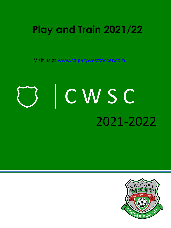## **Play and Train 2021/22**

Visit us at [www.calgarywestsoccer.com](http://www.calgarywestsoccer.com/)

# C W S C 2021-2022

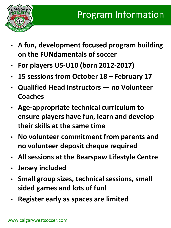

- **A fun, development focused program building on the FUNdamentals of soccer**
- **For players U5-U10 (born 2012-2017)**
- **15 sessions from October 18 – February 17**
- **Qualified Head Instructors — no Volunteer Coaches**
- **Age-appropriate technical curriculum to ensure players have fun, learn and develop their skills at the same time**
- **No volunteer commitment from parents and no volunteer deposit cheque required**
- **All sessions at the Bearspaw Lifestyle Centre**
- **Jersey included**
- **Small group sizes, technical sessions, small sided games and lots of fun!**
- **Register early as spaces are limited**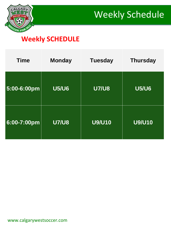



#### **Weekly SCHEDULE**

| <b>Time</b> | <b>Monday</b> | <b>Tuesday</b> | <b>Thursday</b> |
|-------------|---------------|----------------|-----------------|
| 5:00-6:00pm | <b>U5/U6</b>  | <b>U7/U8</b>   | <b>U5/U6</b>    |
| 6:00-7:00pm | <b>U7/U8</b>  | <b>U9/U10</b>  | <b>U9/U10</b>   |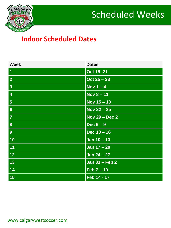



#### **Indoor Scheduled Dates**

| <b>Week</b>             | <b>Dates</b>          |
|-------------------------|-----------------------|
| $\overline{1}$          | Oct 18 - 21           |
| $\overline{2}$          | $Oct 25 - 28$         |
| $\overline{\mathbf{3}}$ | Nov $1 - 4$           |
| $\overline{\mathbf{4}}$ | Nov $8 - 11$          |
| $5\phantom{1}$          | Nov $15 - 18$         |
| $6\phantom{a}$          | Nov $22 - 25$         |
| $\overline{7}$          | <b>Nov 29 - Dec 2</b> |
| $\boldsymbol{8}$        | Dec $6-9$             |
| 9                       | Dec $13 - 16$         |
| 10                      | Jan $10 - 13$         |
| 11                      | Jan $17 - 20$         |
| 12                      | Jan $24 - 27$         |
| 13                      | Jan 31 - Feb 2        |
| 14                      | $Feb 7 - 10$          |
| 15                      | Feb 14 - 17           |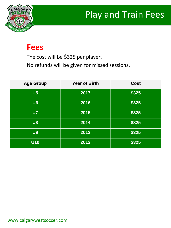## Play and Train Fees



### **Fees**

The cost will be \$325 per player.

No refunds will be given for missed sessions.

| <b>Age Group</b> | <b>Year of Birth</b> | <b>Cost</b> |
|------------------|----------------------|-------------|
| U <sub>5</sub>   | 2017                 | \$325       |
| U6               | 2016                 | \$325       |
| U <sub>7</sub>   | 2015                 | \$325       |
| <b>U8</b>        | 2014                 | \$325       |
| <b>U9</b>        | 2013                 | \$325       |
| <b>U10</b>       | 2012                 | \$325       |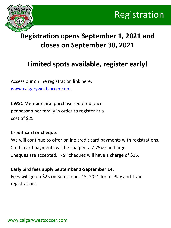



### **Registration opens September 1, 2021 and closes on September 30, 2021**

#### **Limited spots available, register early!**

Access our online registration link here: www.calgarywestsoccer.com

**CWSC Membership**: purchase required once per season per family in order to register at a cost of \$25

#### **Credit card or cheque:**

We will continue to offer online credit card payments with registrations. Credit card payments will be charged a 2.75% surcharge. Cheques are accepted. NSF cheques will have a charge of \$25.

#### **Early bird fees apply September 1-September 14.**

Fees will go up \$25 on September 15, 2021 for all Play and Train registrations.